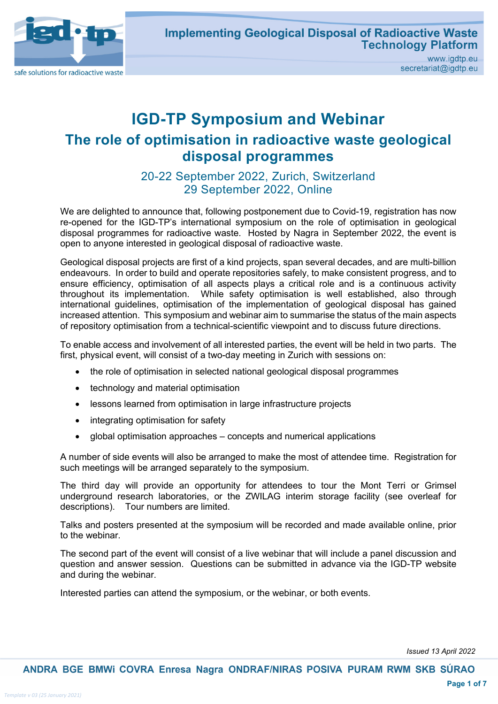

# **IGD-TP Symposium and Webinar The role of optimisation in radioactive waste geological disposal programmes**

20-22 September 2022, Zurich, Switzerland 29 September 2022, Online

We are delighted to announce that, following postponement due to Covid-19, registration has now re-opened for the IGD-TP's international symposium on the role of optimisation in geological disposal programmes for radioactive waste. Hosted by Nagra in September 2022, the event is open to anyone interested in geological disposal of radioactive waste.

Geological disposal projects are first of a kind projects, span several decades, and are multi-billion endeavours. In order to build and operate repositories safely, to make consistent progress, and to ensure efficiency, optimisation of all aspects plays a critical role and is a continuous activity throughout its implementation. While safety optimisation is well established, also through international guidelines, optimisation of the implementation of geological disposal has gained increased attention. This symposium and webinar aim to summarise the status of the main aspects of repository optimisation from a technical-scientific viewpoint and to discuss future directions.

To enable access and involvement of all interested parties, the event will be held in two parts. The first, physical event, will consist of a two-day meeting in Zurich with sessions on:

- the role of optimisation in selected national geological disposal programmes
- technology and material optimisation
- lessons learned from optimisation in large infrastructure projects
- integrating optimisation for safety
- global optimisation approaches concepts and numerical applications

A number of side events will also be arranged to make the most of attendee time. Registration for such meetings will be arranged separately to the symposium.

The third day will provide an opportunity for attendees to tour the Mont Terri or Grimsel underground research laboratories, or the ZWILAG interim storage facility (see overleaf for descriptions). Tour numbers are limited.

Talks and posters presented at the symposium will be recorded and made available online, prior to the webinar.

The second part of the event will consist of a live webinar that will include a panel discussion and question and answer session. Questions can be submitted in advance via the IGD-TP website and during the webinar.

Interested parties can attend the symposium, or the webinar, or both events.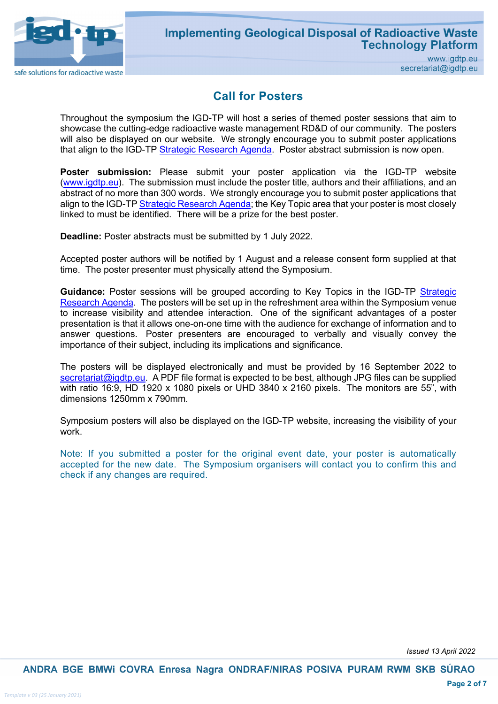

#### **Call for Posters**

Throughout the symposium the IGD-TP will host a series of themed poster sessions that aim to showcase the cutting-edge radioactive waste management RD&D of our community. The posters will also be displayed on our website. We strongly encourage you to submit poster applications that align to the IGD-TP [Strategic Research Agenda.](https://igdtp.eu/document/2020_igd-tp_strategic-research-agenda/) Poster abstract submission is now open.

**Poster submission:** Please submit your poster application via the IGD-TP website (www.igdtp.eu). The submission must include the poster title, authors and their affiliations, and an abstract of no more than 300 words. We strongly encourage you to submit poster applications that align to the IGD-T[P Strategic Research Agenda;](https://igdtp.eu/document/2020_igd-tp_strategic-research-agenda/) the Key Topic area that your poster is most closely linked to must be identified. There will be a prize for the best poster.

**Deadline:** Poster abstracts must be submitted by 1 July 2022.

Accepted poster authors will be notified by 1 August and a release consent form supplied at that time. The poster presenter must physically attend the Symposium.

Guidance: Poster sessions will be grouped according to Key Topics in the IGD-TP Strategic [Research Agenda.](https://igdtp.eu/document/2020_igd-tp_strategic-research-agenda/) The posters will be set up in the refreshment area within the Symposium venue to increase visibility and attendee interaction. One of the significant advantages of a poster presentation is that it allows one-on-one time with the audience for exchange of information and to answer questions. Poster presenters are encouraged to verbally and visually convey the importance of their subject, including its implications and significance.

The posters will be displayed electronically and must be provided by 16 September 2022 to [secretariat@igdtp.eu.](mailto:secretariat@igdtp.eu) A PDF file format is expected to be best, although JPG files can be supplied with ratio 16:9, HD 1920 x 1080 pixels or UHD 3840 x 2160 pixels. The monitors are 55", with dimensions 1250mm x 790mm.

Symposium posters will also be displayed on the IGD-TP website, increasing the visibility of your work.

Note: If you submitted a poster for the original event date, your poster is automatically accepted for the new date. The Symposium organisers will contact you to confirm this and check if any changes are required.

*Issued 13 April 2022*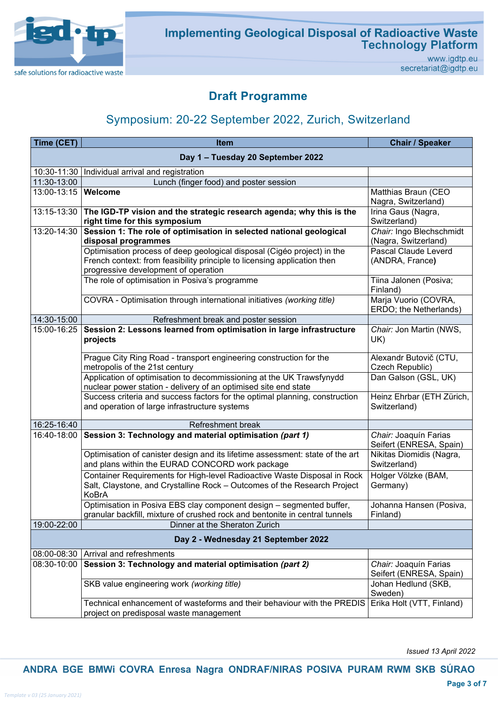

### **Implementing Geological Disposal of Radioactive Waste Technology Platform**

www.igdtp.eu secretariat@igdtp.eu

### **Draft Programme**

## Symposium: 20-22 September 2022, Zurich, Switzerland

| Time (CET)                          | <b>Item</b>                                                                                                                                                                                 | <b>Chair / Speaker</b>                           |  |  |
|-------------------------------------|---------------------------------------------------------------------------------------------------------------------------------------------------------------------------------------------|--------------------------------------------------|--|--|
| Day 1 - Tuesday 20 September 2022   |                                                                                                                                                                                             |                                                  |  |  |
| 10:30-11:30                         | Individual arrival and registration                                                                                                                                                         |                                                  |  |  |
| 11:30-13:00                         | Lunch (finger food) and poster session                                                                                                                                                      |                                                  |  |  |
| 13:00-13:15   Welcome               |                                                                                                                                                                                             | Matthias Braun (CEO<br>Nagra, Switzerland)       |  |  |
| 13:15-13:30                         | The IGD-TP vision and the strategic research agenda; why this is the<br>right time for this symposium                                                                                       | Irina Gaus (Nagra,<br>Switzerland)               |  |  |
| 13:20-14:30                         | Session 1: The role of optimisation in selected national geological<br>disposal programmes                                                                                                  | Chair: Ingo Blechschmidt<br>(Nagra, Switzerland) |  |  |
|                                     | Optimisation process of deep geological disposal (Cigéo project) in the<br>French context: from feasibility principle to licensing application then<br>progressive development of operation | Pascal Claude Leverd<br>(ANDRA, France)          |  |  |
|                                     | The role of optimisation in Posiva's programme                                                                                                                                              | Tiina Jalonen (Posiva;<br>Finland)               |  |  |
|                                     | COVRA - Optimisation through international initiatives (working title)                                                                                                                      | Marja Vuorio (COVRA,<br>ERDO; the Netherlands)   |  |  |
| 14:30-15:00                         | Refreshment break and poster session                                                                                                                                                        |                                                  |  |  |
| 15:00-16:25                         | Session 2: Lessons learned from optimisation in large infrastructure<br>projects                                                                                                            | Chair: Jon Martin (NWS,<br>UK)                   |  |  |
|                                     | Prague City Ring Road - transport engineering construction for the<br>metropolis of the 21st century                                                                                        | Alexandr Butovič (CTU,<br>Czech Republic)        |  |  |
|                                     | Application of optimisation to decommissioning at the UK Trawsfynydd<br>nuclear power station - delivery of an optimised site end state                                                     | Dan Galson (GSL, UK)                             |  |  |
|                                     | Success criteria and success factors for the optimal planning, construction<br>and operation of large infrastructure systems                                                                | Heinz Ehrbar (ETH Zürich,<br>Switzerland)        |  |  |
| 16:25-16:40                         | Refreshment break                                                                                                                                                                           |                                                  |  |  |
| 16:40-18:00                         | Session 3: Technology and material optimisation (part 1)                                                                                                                                    | Chair: Joaquín Farias<br>Seifert (ENRESA, Spain) |  |  |
|                                     | Optimisation of canister design and its lifetime assessment: state of the art<br>and plans within the EURAD CONCORD work package                                                            | Nikitas Diomidis (Nagra,<br>Switzerland)         |  |  |
|                                     | Container Requirements for High-level Radioactive Waste Disposal in Rock<br>Salt, Claystone, and Crystalline Rock - Outcomes of the Research Project<br>KoBrA                               | Holger Völzke (BAM,<br>Germany)                  |  |  |
|                                     | Optimisation in Posiva EBS clay component design - segmented buffer,<br>granular backfill, mixture of crushed rock and bentonite in central tunnels                                         | Johanna Hansen (Posiva,<br>Finland)              |  |  |
| 19:00-22:00                         | Dinner at the Sheraton Zurich                                                                                                                                                               |                                                  |  |  |
| Day 2 - Wednesday 21 September 2022 |                                                                                                                                                                                             |                                                  |  |  |
| 08:00-08:30                         | Arrival and refreshments                                                                                                                                                                    |                                                  |  |  |
| 08:30-10:00                         | Session 3: Technology and material optimisation (part 2)                                                                                                                                    | Chair: Joaquín Farias<br>Seifert (ENRESA, Spain) |  |  |
|                                     | SKB value engineering work (working title)                                                                                                                                                  | Johan Hedlund (SKB,<br>Sweden)                   |  |  |
|                                     | Technical enhancement of wasteforms and their behaviour with the PREDIS<br>project on predisposal waste management                                                                          | Erika Holt (VTT, Finland)                        |  |  |

*Issued 13 April 2022*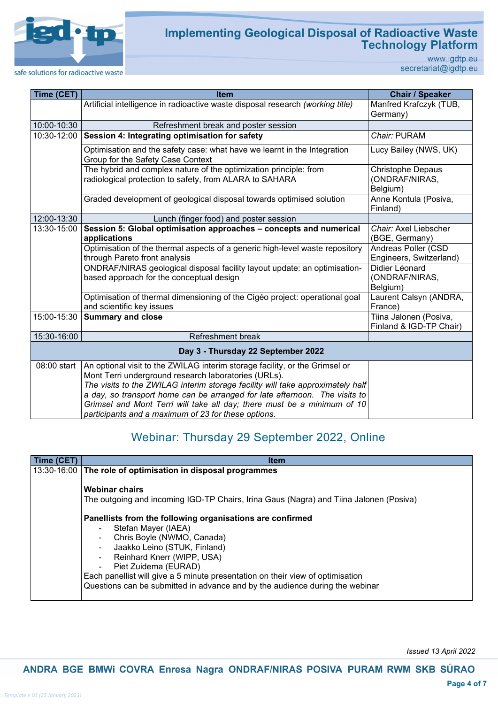

# Implementing Geological Disposal of Radioactive Waste<br>Technology Platform

www.igdtp.eu secretariat@igdtp.eu

safe solutions for radioactive waste

| Time (CET)  | <b>Item</b>                                                                                                                                                                                                                                                                                                                                                                                                                           | <b>Chair / Speaker</b>                                 |
|-------------|---------------------------------------------------------------------------------------------------------------------------------------------------------------------------------------------------------------------------------------------------------------------------------------------------------------------------------------------------------------------------------------------------------------------------------------|--------------------------------------------------------|
|             | Artificial intelligence in radioactive waste disposal research (working title)                                                                                                                                                                                                                                                                                                                                                        | Manfred Krafczyk (TUB,<br>Germany)                     |
| 10:00-10:30 | Refreshment break and poster session                                                                                                                                                                                                                                                                                                                                                                                                  |                                                        |
| 10:30-12:00 | Session 4: Integrating optimisation for safety                                                                                                                                                                                                                                                                                                                                                                                        | Chair: PURAM                                           |
|             | Optimisation and the safety case: what have we learnt in the Integration<br>Group for the Safety Case Context                                                                                                                                                                                                                                                                                                                         | Lucy Bailey (NWS, UK)                                  |
|             | The hybrid and complex nature of the optimization principle: from<br>radiological protection to safety, from ALARA to SAHARA                                                                                                                                                                                                                                                                                                          | <b>Christophe Depaus</b><br>(ONDRAF/NIRAS,<br>Belgium) |
|             | Graded development of geological disposal towards optimised solution                                                                                                                                                                                                                                                                                                                                                                  | Anne Kontula (Posiva,<br>Finland)                      |
| 12:00-13:30 | Lunch (finger food) and poster session                                                                                                                                                                                                                                                                                                                                                                                                |                                                        |
| 13:30-15:00 | Session 5: Global optimisation approaches - concepts and numerical<br>applications                                                                                                                                                                                                                                                                                                                                                    | Chair: Axel Liebscher<br>(BGE, Germany)                |
|             | Optimisation of the thermal aspects of a generic high-level waste repository<br>through Pareto front analysis                                                                                                                                                                                                                                                                                                                         | Andreas Poller (CSD<br>Engineers, Switzerland)         |
|             | ONDRAF/NIRAS geological disposal facility layout update: an optimisation-<br>based approach for the conceptual design                                                                                                                                                                                                                                                                                                                 | Didier Léonard<br>(ONDRAF/NIRAS,<br>Belgium)           |
|             | Optimisation of thermal dimensioning of the Cigéo project: operational goal<br>and scientific key issues                                                                                                                                                                                                                                                                                                                              | Laurent Calsyn (ANDRA,<br>France)                      |
| 15:00-15:30 | <b>Summary and close</b>                                                                                                                                                                                                                                                                                                                                                                                                              | Tiina Jalonen (Posiva,<br>Finland & IGD-TP Chair)      |
| 15:30-16:00 | Refreshment break                                                                                                                                                                                                                                                                                                                                                                                                                     |                                                        |
|             | Day 3 - Thursday 22 September 2022                                                                                                                                                                                                                                                                                                                                                                                                    |                                                        |
| 08:00 start | An optional visit to the ZWILAG interim storage facility, or the Grimsel or<br>Mont Terri underground research laboratories (URLs).<br>The visits to the ZWILAG interim storage facility will take approximately half<br>a day, so transport home can be arranged for late afternoon. The visits to<br>Grimsel and Mont Terri will take all day; there must be a minimum of 10<br>participants and a maximum of 23 for these options. |                                                        |

## Webinar: Thursday 29 September 2022, Online

| Time (CET) | <b>Item</b>                                                                                                                                                                                                                                                                                                                                                            |  |
|------------|------------------------------------------------------------------------------------------------------------------------------------------------------------------------------------------------------------------------------------------------------------------------------------------------------------------------------------------------------------------------|--|
|            | 13:30-16:00 The role of optimisation in disposal programmes<br><b>Webinar chairs</b><br>The outgoing and incoming IGD-TP Chairs, Irina Gaus (Nagra) and Tiina Jalonen (Posiva)                                                                                                                                                                                         |  |
|            |                                                                                                                                                                                                                                                                                                                                                                        |  |
|            | Panellists from the following organisations are confirmed<br>Stefan Mayer (IAEA)<br>Chris Boyle (NWMO, Canada)<br>Jaakko Leino (STUK, Finland)<br>Reinhard Knerr (WIPP, USA)<br>Piet Zuidema (EURAD)<br>Each panellist will give a 5 minute presentation on their view of optimisation<br>Questions can be submitted in advance and by the audience during the webinar |  |

*Issued 13 April 2022*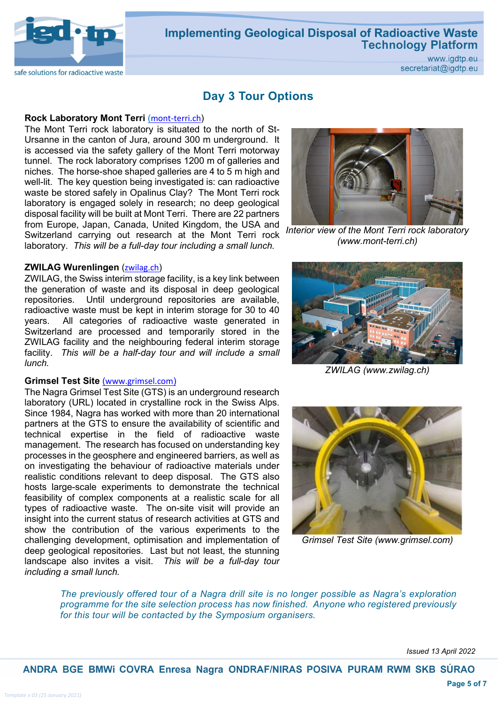

#### **Implementing Geological Disposal of Radioactive Waste Technology Platform**

www.igdtp.eu secretariat@igdtp.eu

#### **Day 3 Tour Options**

#### **Rock Laboratory Mont Terri ([mont-terri.ch](https://www.mont-terri.ch/en/the-rock-laboratory.html))**

The Mont Terri rock laboratory is situated to the north of St-Ursanne in the canton of Jura, around 300 m underground. It is accessed via the safety gallery of the Mont Terri motorway tunnel. The rock laboratory comprises 1200 m of galleries and niches. The horse-shoe shaped galleries are 4 to 5 m high and well-lit. The key question being investigated is: can radioactive waste be stored safely in Opalinus Clay? The Mont Terri rock laboratory is engaged solely in research; no deep geological disposal facility will be built at Mont Terri. There are 22 partners from Europe, Japan, Canada, United Kingdom, the USA and Switzerland carrying out research at the Mont Terri rock laboratory. *This will be a full-day tour including a small lunch.*

#### **ZWILAG Wurenlingen ([zwilag.ch](https://www.zwilag.ch/en))**

ZWILAG, the Swiss interim storage facility, is a key link between the generation of waste and its disposal in deep geological repositories. Until underground repositories are available, radioactive waste must be kept in interim storage for 30 to 40 years. All categories of radioactive waste generated in Switzerland are processed and temporarily stored in the ZWILAG facility and the neighbouring federal interim storage facility. *This will be a half-day tour and will include a small lunch.*

#### **Grimsel Test Site** ([www.grimsel.com](http://(www.grimsel.com)/))

The Nagra Grimsel Test Site (GTS) is an underground research laboratory (URL) located in crystalline rock in the Swiss Alps. Since 1984, Nagra has worked with more than 20 international partners at the GTS to ensure the availability of scientific and technical expertise in the field of radioactive waste management. The research has focused on understanding key processes in the geosphere and engineered barriers, as well as on investigating the behaviour of radioactive materials under realistic conditions relevant to deep disposal. The GTS also hosts large-scale experiments to demonstrate the technical feasibility of complex components at a realistic scale for all types of radioactive waste. The on-site visit will provide an insight into the current status of research activities at GTS and show the contribution of the various experiments to the challenging development, optimisation and implementation of deep geological repositories. Last but not least, the stunning landscape also invites a visit. *This will be a full-day tour including a small lunch.*



*Interior view of the Mont Terri rock laboratory (www.mont-terri.ch)*



*ZWILAG (www.zwilag.ch)*



*Grimsel Test Site (www.grimsel.com)*

*The previously offered tour of a Nagra drill site is no longer possible as Nagra's exploration programme for the site selection process has now finished. Anyone who registered previously for this tour will be contacted by the Symposium organisers.*

*Issued 13 April 2022*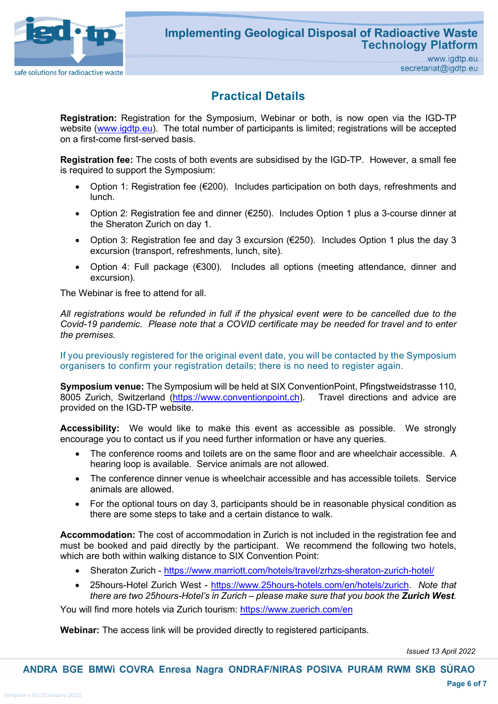

### **Practical Details**

**Registration:** Registration for the Symposium, Webinar or both, is now open via the IGD-TP website (www.igdtp.eu). The total number of participants is limited; registrations will be accepted on a first-come first-served basis.

**Registration fee:** The costs of both events are subsidised by the IGD-TP. However, a small fee is required to support the Symposium:

- Option 1: Registration fee (€200). Includes participation on both days, refreshments and lunch.
- Option 2: Registration fee and dinner (€250). Includes Option 1 plus a 3-course dinner at the Sheraton Zurich on day 1.
- Option 3: Registration fee and day 3 excursion (€250). Includes Option 1 plus the day 3 excursion (transport, refreshments, lunch, site).
- Option 4: Full package (€300). Includes all options (meeting attendance, dinner and excursion).

The Webinar is free to attend for all.

*All registrations would be refunded in full if the physical event were to be cancelled due to the Covid-19 pandemic. Please note that a COVID certificate may be needed for travel and to enter the premises.*

If you previously registered for the original event date, you will be contacted by the Symposium organisers to confirm your registration details; there is no need to register again.

**Symposium venue:** The Symposium will be held at SIX ConventionPoint, Pfingstweidstrasse 110, 8005 Zurich, Switzerland [\(https://www.conventionpoint.ch\)](https://www.conventionpoint.ch/). Travel directions and advice are provided on the IGD-TP website.

**Accessibility:** We would like to make this event as accessible as possible. We strongly encourage you to contact us if you need further information or have any queries.

- The conference rooms and toilets are on the same floor and are wheelchair accessible. A hearing loop is available. Service animals are not allowed.
- The conference dinner venue is wheelchair accessible and has accessible toilets. Service animals are allowed.
- For the optional tours on day 3, participants should be in reasonable physical condition as there are some steps to take and a certain distance to walk.

**Accommodation:** The cost of accommodation in Zurich is not included in the registration fee and must be booked and paid directly by the participant. We recommend the following two hotels, which are both within walking distance to SIX Convention Point:

- Sheraton Zurich <https://www.marriott.com/hotels/travel/zrhzs-sheraton-zurich-hotel/>
- 25hours-Hotel Zurich West [https://www.25hours-hotels.com/en/hotels/zurich.](https://www.25hours-hotels.com/en/hotels/zurich) *Note that there are two 25hours-Hotel's in Zurich – please make sure that you book the Zurich West.*

You will find more hotels via Zurich tourism:<https://www.zuerich.com/en>

**Webinar:** The access link will be provided directly to registered participants.

*Issued 13 April 2022*